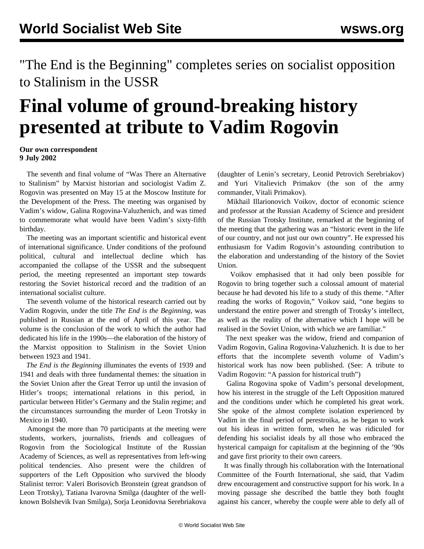"The End is the Beginning" completes series on socialist opposition to Stalinism in the USSR

## **Final volume of ground-breaking history presented at tribute to Vadim Rogovin**

**Our own correspondent 9 July 2002**

 The seventh and final volume of "Was There an Alternative to Stalinism" by Marxist historian and sociologist Vadim Z. Rogovin was presented on May 15 at the Moscow Institute for the Development of the Press. The meeting was organised by Vadim's widow, Galina Rogovina-Valuzhenich, and was timed to commemorate what would have been Vadim's sixty-fifth birthday.

 The meeting was an important scientific and historical event of international significance. Under conditions of the profound political, cultural and intellectual decline which has accompanied the collapse of the USSR and the subsequent period, the meeting represented an important step towards restoring the Soviet historical record and the tradition of an international socialist culture.

 The seventh volume of the historical research carried out by Vadim Rogovin, under the title *The End is the Beginning*, was published in Russian at the end of April of this year. The volume is the conclusion of the work to which the author had dedicated his life in the 1990s—the elaboration of the history of the Marxist opposition to Stalinism in the Soviet Union between 1923 and 1941.

 *The End is the Beginning* illuminates the events of 1939 and 1941 and deals with three fundamental themes: the situation in the Soviet Union after the Great Terror up until the invasion of Hitler's troops; international relations in this period, in particular between Hitler's Germany and the Stalin regime; and the circumstances surrounding the murder of Leon Trotsky in Mexico in 1940.

 Amongst the more than 70 participants at the meeting were students, workers, journalists, friends and colleagues of Rogovin from the Sociological Institute of the Russian Academy of Sciences, as well as representatives from left-wing political tendencies. Also present were the children of supporters of the Left Opposition who survived the bloody Stalinist terror: Valeri Borisovich Bronstein (great grandson of Leon Trotsky), Tatiana Ivarovna Smilga (daughter of the wellknown Bolshevik Ivan Smilga), Sorja Leonidovna Serebriakova

(daughter of Lenin's secretary, Leonid Petrovich Serebriakov) and Yuri Vitalievich Primakov (the son of the army commander, Vitali Primakov).

 Mikhail Illarionovich Voikov, doctor of economic science and professor at the Russian Academy of Science and president of the Russian Trotsky Institute, remarked at the beginning of the meeting that the gathering was an "historic event in the life of our country, and not just our own country". He expressed his enthusiasm for Vadim Rogovin's astounding contribution to the elaboration and understanding of the history of the Soviet Union.

 Voikov emphasised that it had only been possible for Rogovin to bring together such a colossal amount of material because he had devoted his life to a study of this theme. "After reading the works of Rogovin," Voikov said, "one begins to understand the entire power and strength of Trotsky's intellect, as well as the reality of the alternative which I hope will be realised in the Soviet Union, with which we are familiar."

 The next speaker was the widow, friend and companion of Vadim Rogovin, Galina Rogovina-Valuzhenich. It is due to her efforts that the incomplete seventh volume of Vadim's historical work has now been published. (See: [A tribute to](../jun2002/trib-j20.shtml) [Vadim Rogovin: "A passion for historical truth"](../jun2002/trib-j20.shtml))

 Galina Rogovina spoke of Vadim's personal development, how his interest in the struggle of the Left Opposition matured and the conditions under which he completed his great work. She spoke of the almost complete isolation experienced by Vadim in the final period of perestroika, as he began to work out his ideas in written form, when he was ridiculed for defending his socialist ideals by all those who embraced the hysterical campaign for capitalism at the beginning of the '90s and gave first priority to their own careers.

 It was finally through his collaboration with the International Committee of the Fourth International, she said, that Vadim drew encouragement and constructive support for his work. In a moving passage she described the battle they both fought against his cancer, whereby the couple were able to defy all of